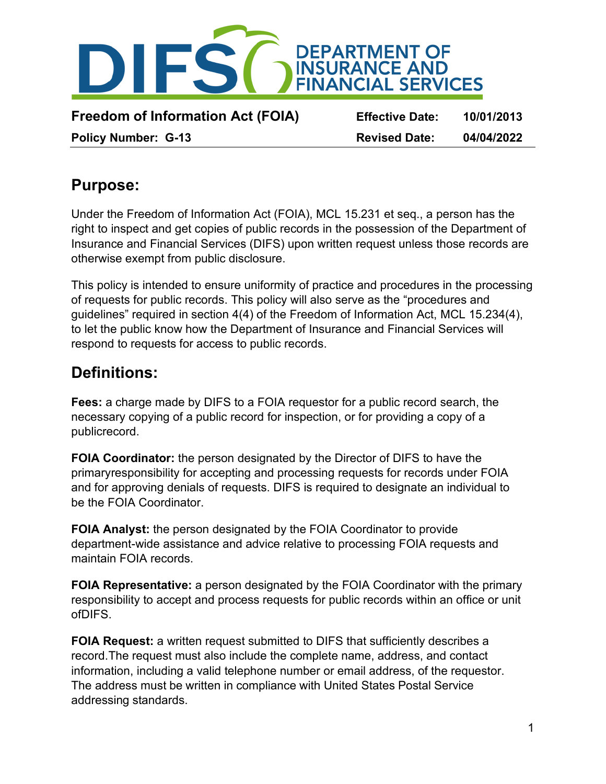

### **Purpose:**

Under the Freedom of Information Act (FOIA), MCL 15.231 et seq., a person has the right to inspect and get copies of public records in the possession of the Department of Insurance and Financial Services (DIFS) upon written request unless those records are otherwise exempt from public disclosure.

This policy is intended to ensure uniformity of practice and procedures in the processing of requests for public records. This policy will also serve as the "procedures and guidelines" required in section 4(4) of the Freedom of Information Act, MCL 15.234(4), to let the public know how the Department of Insurance and Financial Services will respond to requests for access to public records.

### **Definitions:**

**Fees:** a charge made by DIFS to a FOIA requestor for a public record search, the necessary copying of a public record for inspection, or for providing a copy of a publicrecord.

**FOIA Coordinator:** the person designated by the Director of DIFS to have the primaryresponsibility for accepting and processing requests for records under FOIA and for approving denials of requests. DIFS is required to designate an individual to be the FOIA Coordinator.

**FOIA Analyst:** the person designated by the FOIA Coordinator to provide department-wide assistance and advice relative to processing FOIA requests and maintain FOIA records.

**FOIA Representative:** a person designated by the FOIA Coordinator with the primary responsibility to accept and process requests for public records within an office or unit ofDIFS.

**FOIA Request:** a written request submitted to DIFS that sufficiently describes a record.The request must also include the complete name, address, and contact information, including a valid telephone number or email address, of the requestor. The address must be written in compliance with United States Postal Service addressing standards.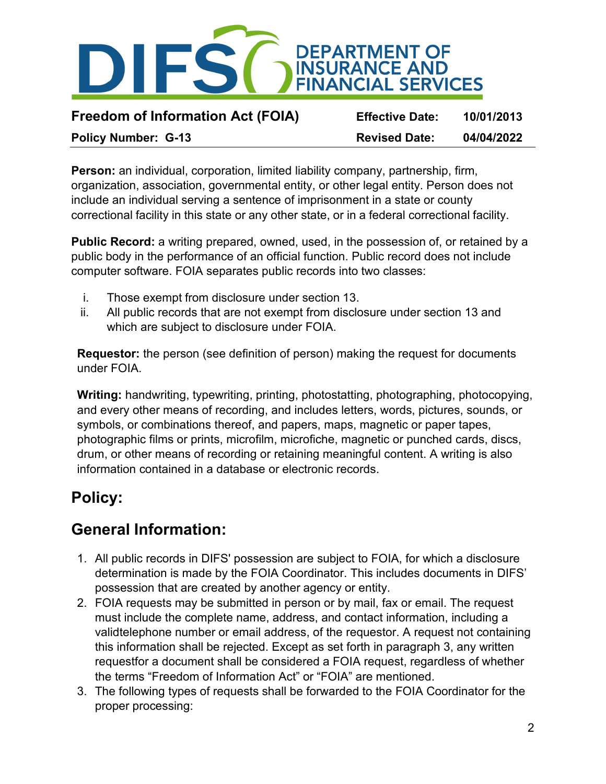

**Freedom of Information Act (FOIA) Effective Date: 10/01/2013**

**Policy Number: G-13 Revised Date: 04/04/2022**

**Person:** an individual, corporation, limited liability company, partnership, firm, organization, association, governmental entity, or other legal entity. Person does not include an individual serving a sentence of imprisonment in a state or county correctional facility in this state or any other state, or in a federal correctional facility.

**Public Record:** a writing prepared, owned, used, in the possession of, or retained by a public body in the performance of an official function. Public record does not include computer software. FOIA separates public records into two classes:

- i. Those exempt from disclosure under section 13.
- ii. All public records that are not exempt from disclosure under section 13 and which are subject to disclosure under FOIA.

**Requestor:** the person (see definition of person) making the request for documents under FOIA.

**Writing:** handwriting, typewriting, printing, photostatting, photographing, photocopying, and every other means of recording, and includes letters, words, pictures, sounds, or symbols, or combinations thereof, and papers, maps, magnetic or paper tapes, photographic films or prints, microfilm, microfiche, magnetic or punched cards, discs, drum, or other means of recording or retaining meaningful content. A writing is also information contained in a database or electronic records.

# **Policy:**

# **General Information:**

- 1. All public records in DIFS' possession are subject to FOIA, for which a disclosure determination is made by the FOIA Coordinator. This includes documents in DIFS' possession that are created by another agency or entity.
- 2. FOIA requests may be submitted in person or by mail, fax or email. The request must include the complete name, address, and contact information, including a validtelephone number or email address, of the requestor. A request not containing this information shall be rejected. Except as set forth in paragraph 3, any written requestfor a document shall be considered a FOIA request, regardless of whether the terms "Freedom of Information Act" or "FOIA" are mentioned.
- 3. The following types of requests shall be forwarded to the FOIA Coordinator for the proper processing: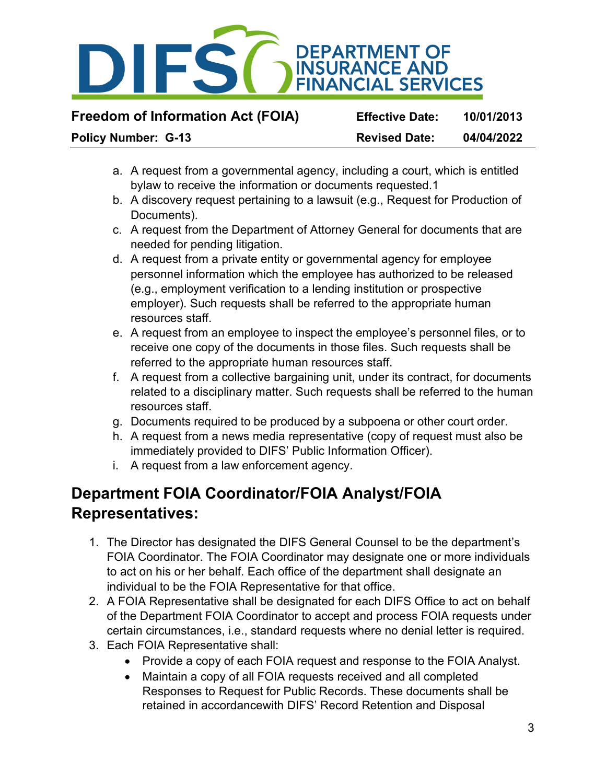

**Freedom of Information Act (FOIA) Effective Date: 10/01/2013**

**Policy Number: G-13 Revised Date: 04/04/2022**

- a. A request from a governmental agency, including a court, which is entitled bylaw to receive the information or documents requested.1
- b. A discovery request pertaining to a lawsuit (e.g., Request for Production of Documents).
- c. A request from the Department of Attorney General for documents that are needed for pending litigation.
- d. A request from a private entity or governmental agency for employee personnel information which the employee has authorized to be released (e.g., employment verification to a lending institution or prospective employer). Such requests shall be referred to the appropriate human resources staff.
- e. A request from an employee to inspect the employee's personnel files, or to receive one copy of the documents in those files. Such requests shall be referred to the appropriate human resources staff.
- f. A request from a collective bargaining unit, under its contract, for documents related to a disciplinary matter. Such requests shall be referred to the human resources staff.
- g. Documents required to be produced by a subpoena or other court order.
- h. A request from a news media representative (copy of request must also be immediately provided to DIFS' Public Information Officer).
- i. A request from a law enforcement agency.

## **Department FOIA Coordinator/FOIA Analyst/FOIA Representatives:**

- 1. The Director has designated the DIFS General Counsel to be the department's FOIA Coordinator. The FOIA Coordinator may designate one or more individuals to act on his or her behalf. Each office of the department shall designate an individual to be the FOIA Representative for that office.
- 2. A FOIA Representative shall be designated for each DIFS Office to act on behalf of the Department FOIA Coordinator to accept and process FOIA requests under certain circumstances, i.e., standard requests where no denial letter is required.
- 3. Each FOIA Representative shall:
	- Provide a copy of each FOIA request and response to the FOIA Analyst.
	- Maintain a copy of all FOIA requests received and all completed Responses to Request for Public Records. These documents shall be retained in accordancewith DIFS' Record Retention and Disposal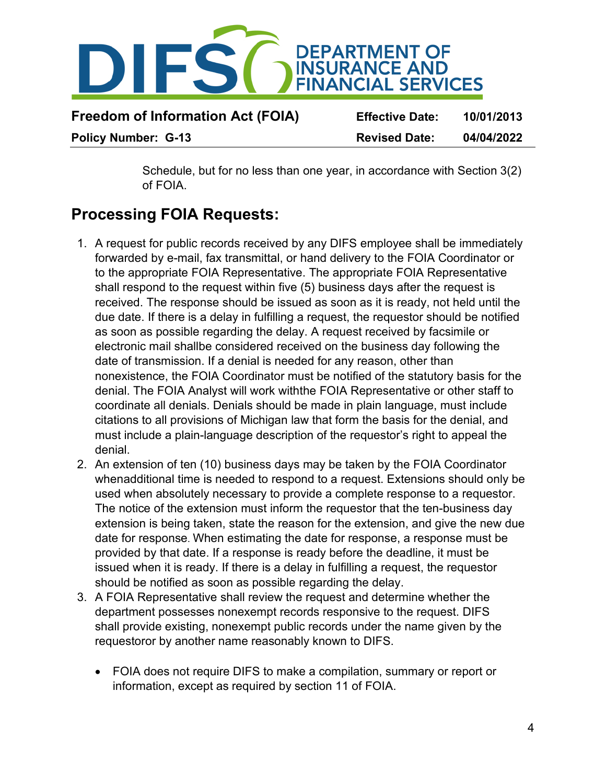

| <b>Freedom of Information Act (FOIA)</b> | <b>Effective Date:</b> | 10/01/2013 |
|------------------------------------------|------------------------|------------|
| <b>Policy Number: G-13</b>               | <b>Revised Date:</b>   | 04/04/2022 |

Schedule, but for no less than one year, in accordance with Section 3(2) of FOIA.

### **Processing FOIA Requests:**

- 1. A request for public records received by any DIFS employee shall be immediately forwarded by e-mail, fax transmittal, or hand delivery to the FOIA Coordinator or to the appropriate FOIA Representative. The appropriate FOIA Representative shall respond to the request within five (5) business days after the request is received. The response should be issued as soon as it is ready, not held until the due date. If there is a delay in fulfilling a request, the requestor should be notified as soon as possible regarding the delay. A request received by facsimile or electronic mail shallbe considered received on the business day following the date of transmission. If a denial is needed for any reason, other than nonexistence, the FOIA Coordinator must be notified of the statutory basis for the denial. The FOIA Analyst will work withthe FOIA Representative or other staff to coordinate all denials. Denials should be made in plain language, must include citations to all provisions of Michigan law that form the basis for the denial, and must include a plain-language description of the requestor's right to appeal the denial.
- 2. An extension of ten (10) business days may be taken by the FOIA Coordinator whenadditional time is needed to respond to a request. Extensions should only be used when absolutely necessary to provide a complete response to a requestor. The notice of the extension must inform the requestor that the ten-business day extension is being taken, state the reason for the extension, and give the new due date for response. When estimating the date for response, a response must be provided by that date. If a response is ready before the deadline, it must be issued when it is ready. If there is a delay in fulfilling a request, the requestor should be notified as soon as possible regarding the delay.
- 3. A FOIA Representative shall review the request and determine whether the department possesses nonexempt records responsive to the request. DIFS shall provide existing, nonexempt public records under the name given by the requestoror by another name reasonably known to DIFS.
	- FOIA does not require DIFS to make a compilation, summary or report or information, except as required by section 11 of FOIA.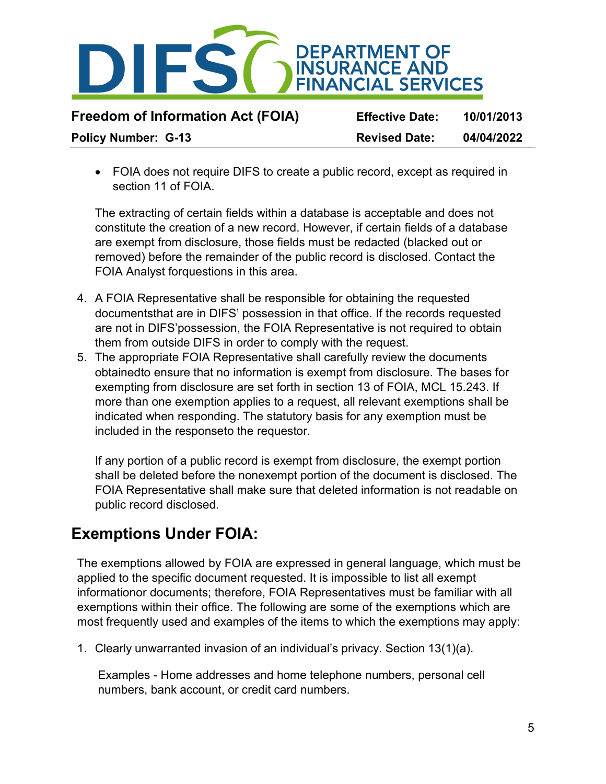

| <b>Freedom of Information Act (FOIA)</b> | <b>Effective Date:</b> | 10/01/2013 |
|------------------------------------------|------------------------|------------|
| <b>Policy Number: G-13</b>               | <b>Revised Date:</b>   | 04/04/2022 |

• FOIA does not require DIFS to create a public record, except as required in section 11 of FOIA

The extracting of certain fields within a database is acceptable and does not constitute the creation of a new record. However, if certain fields of a database are exempt from disclosure, those fields must be redacted (blacked out or removed) before the remainder of the public record is disclosed. Contact the FOIA Analyst forquestions in this area.

- 4. A FOIA Representative shall be responsible for obtaining the requested documentsthat are in DIFS' possession in that office. If the records requested are not in DIFS'possession, the FOIA Representative is not required to obtain them from outside DIFS in order to comply with the request.
- 5. The appropriate FOIA Representative shall carefully review the documents obtainedto ensure that no information is exempt from disclosure. The bases for exempting from disclosure are set forth in section 13 of FOIA, MCL 15.243. If more than one exemption applies to a request, all relevant exemptions shall be indicated when responding. The statutory basis for any exemption must be included in the responseto the requestor.

If any portion of a public record is exempt from disclosure, the exempt portion shall be deleted before the nonexempt portion of the document is disclosed. The FOIA Representative shall make sure that deleted information is not readable on public record disclosed.

### **Exemptions Under FOIA:**

The exemptions allowed by FOIA are expressed in general language, which must be applied to the specific document requested. It is impossible to list all exempt informationor documents; therefore, FOIA Representatives must be familiar with all exemptions within their office. The following are some of the exemptions which are most frequently used and examples of the items to which the exemptions may apply:

1. Clearly unwarranted invasion of an individual's privacy. Section 13(1)(a).

Examples - Home addresses and home telephone numbers, personal cell numbers, bank account, or credit card numbers.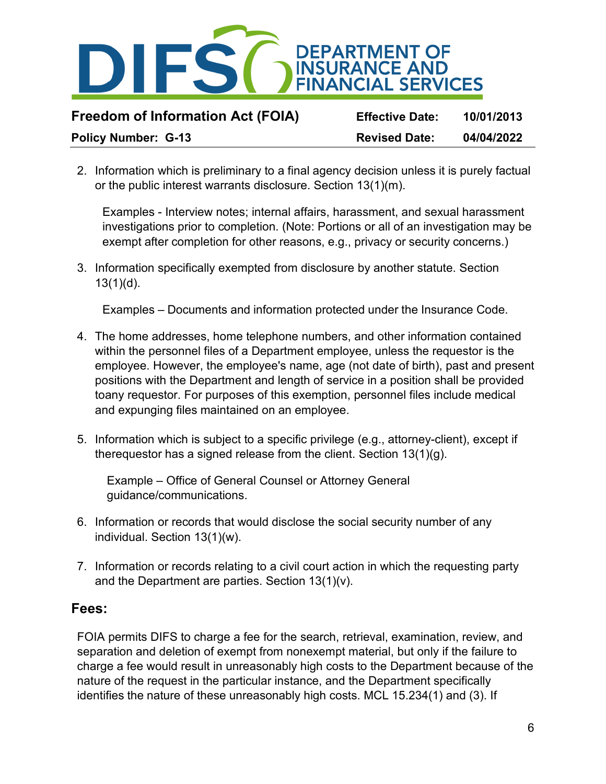

2. Information which is preliminary to a final agency decision unless it is purely factual or the public interest warrants disclosure. Section 13(1)(m).

Examples - Interview notes; internal affairs, harassment, and sexual harassment investigations prior to completion. (Note: Portions or all of an investigation may be exempt after completion for other reasons, e.g., privacy or security concerns.)

3. Information specifically exempted from disclosure by another statute. Section 13(1)(d).

Examples – Documents and information protected under the Insurance Code.

- 4. The home addresses, home telephone numbers, and other information contained within the personnel files of a Department employee, unless the requestor is the employee. However, the employee's name, age (not date of birth), past and present positions with the Department and length of service in a position shall be provided toany requestor. For purposes of this exemption, personnel files include medical and expunging files maintained on an employee.
- 5. Information which is subject to a specific privilege (e.g., attorney-client), except if therequestor has a signed release from the client. Section 13(1)(g).

Example – Office of General Counsel or Attorney General guidance/communications.

- 6. Information or records that would disclose the social security number of any individual. Section 13(1)(w).
- 7. Information or records relating to a civil court action in which the requesting party and the Department are parties. Section 13(1)(v).

#### **Fees:**

FOIA permits DIFS to charge a fee for the search, retrieval, examination, review, and separation and deletion of exempt from nonexempt material, but only if the failure to charge a fee would result in unreasonably high costs to the Department because of the nature of the request in the particular instance, and the Department specifically identifies the nature of these unreasonably high costs. MCL 15.234(1) and (3). If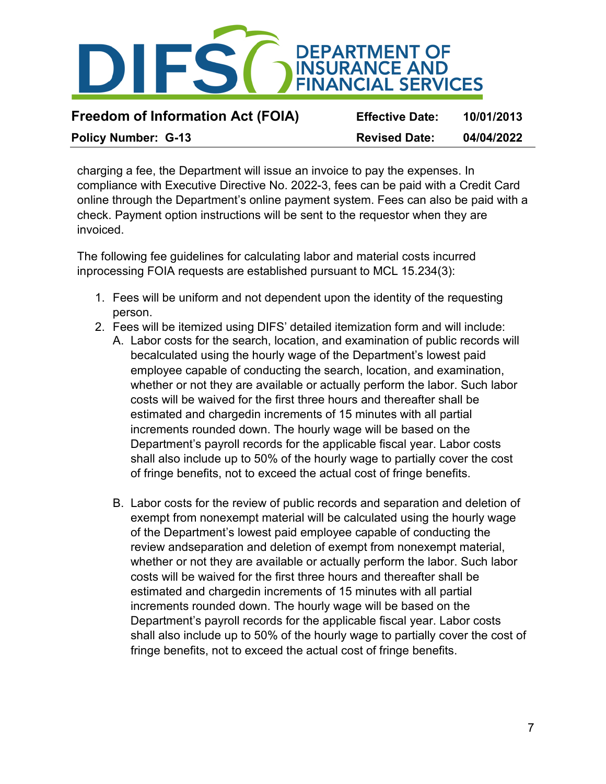

charging a fee, the Department will issue an invoice to pay the expenses. In compliance with Executive Directive No. 2022-3, fees can be paid with a Credit Card online through the Department's online payment system. Fees can also be paid with a check. Payment option instructions will be sent to the requestor when they are invoiced.

The following fee guidelines for calculating labor and material costs incurred inprocessing FOIA requests are established pursuant to MCL 15.234(3):

- 1. Fees will be uniform and not dependent upon the identity of the requesting person.
- 2. Fees will be itemized using DIFS' detailed itemization form and will include:
	- A. Labor costs for the search, location, and examination of public records will becalculated using the hourly wage of the Department's lowest paid employee capable of conducting the search, location, and examination, whether or not they are available or actually perform the labor. Such labor costs will be waived for the first three hours and thereafter shall be estimated and chargedin increments of 15 minutes with all partial increments rounded down. The hourly wage will be based on the Department's payroll records for the applicable fiscal year. Labor costs shall also include up to 50% of the hourly wage to partially cover the cost of fringe benefits, not to exceed the actual cost of fringe benefits.
	- B. Labor costs for the review of public records and separation and deletion of exempt from nonexempt material will be calculated using the hourly wage of the Department's lowest paid employee capable of conducting the review andseparation and deletion of exempt from nonexempt material, whether or not they are available or actually perform the labor. Such labor costs will be waived for the first three hours and thereafter shall be estimated and chargedin increments of 15 minutes with all partial increments rounded down. The hourly wage will be based on the Department's payroll records for the applicable fiscal year. Labor costs shall also include up to 50% of the hourly wage to partially cover the cost of fringe benefits, not to exceed the actual cost of fringe benefits.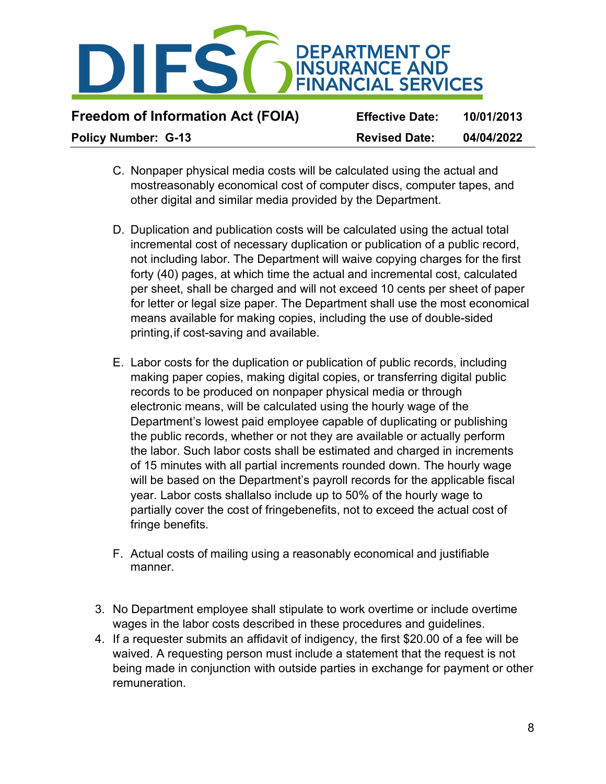

| <b>Freedom of Information Act (FOIA)</b> | <b>Effective Date:</b> | 10/01/2013 |
|------------------------------------------|------------------------|------------|
| <b>Policy Number: G-13</b>               | <b>Revised Date:</b>   | 04/04/2022 |

- C. Nonpaper physical media costs will be calculated using the actual and mostreasonably economical cost of computer discs, computer tapes, and other digital and similar media provided by the Department.
- D. Duplication and publication costs will be calculated using the actual total incremental cost of necessary duplication or publication of a public record, not including labor. The Department will waive copying charges for the first forty (40) pages, at which time the actual and incremental cost, calculated per sheet, shall be charged and will not exceed 10 cents per sheet of paper for letter or legal size paper. The Department shall use the most economical means available for making copies, including the use of double-sided printing, if cost-saving and available.
- E. Labor costs for the duplication or publication of public records, including making paper copies, making digital copies, or transferring digital public records to be produced on nonpaper physical media or through electronic means, will be calculated using the hourly wage of the Department's lowest paid employee capable of duplicating or publishing the public records, whether or not they are available or actually perform the labor. Such labor costs shall be estimated and charged in increments of 15 minutes with all partial increments rounded down. The hourly wage will be based on the Department's payroll records for the applicable fiscal year. Labor costs shallalso include up to 50% of the hourly wage to partially cover the cost of fringebenefits, not to exceed the actual cost of fringe benefits.
- F. Actual costs of mailing using a reasonably economical and justifiable manner.
- 3. No Department employee shall stipulate to work overtime or include overtime wages in the labor costs described in these procedures and guidelines.
- 4. If a requester submits an affidavit of indigency, the first \$20.00 of a fee will be waived. A requesting person must include a statement that the request is not being made in conjunction with outside parties in exchange for payment or other remuneration.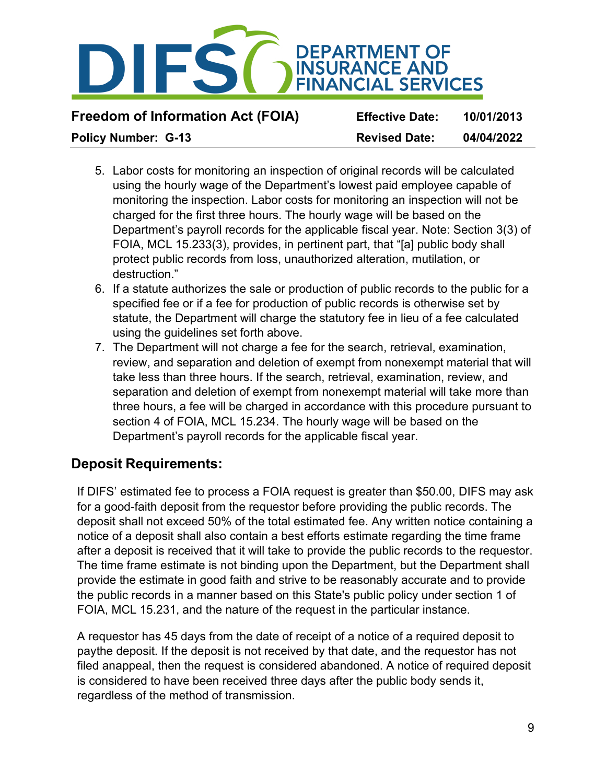

- 5. Labor costs for monitoring an inspection of original records will be calculated using the hourly wage of the Department's lowest paid employee capable of monitoring the inspection. Labor costs for monitoring an inspection will not be charged for the first three hours. The hourly wage will be based on the Department's payroll records for the applicable fiscal year. Note: Section 3(3) of FOIA, MCL 15.233(3), provides, in pertinent part, that "[a] public body shall protect public records from loss, unauthorized alteration, mutilation, or destruction."
- 6. If a statute authorizes the sale or production of public records to the public for a specified fee or if a fee for production of public records is otherwise set by statute, the Department will charge the statutory fee in lieu of a fee calculated using the guidelines set forth above.
- 7. The Department will not charge a fee for the search, retrieval, examination, review, and separation and deletion of exempt from nonexempt material that will take less than three hours. If the search, retrieval, examination, review, and separation and deletion of exempt from nonexempt material will take more than three hours, a fee will be charged in accordance with this procedure pursuant to section 4 of FOIA, MCL 15.234. The hourly wage will be based on the Department's payroll records for the applicable fiscal year.

#### **Deposit Requirements:**

If DIFS' estimated fee to process a FOIA request is greater than \$50.00, DIFS may ask for a good-faith deposit from the requestor before providing the public records. The deposit shall not exceed 50% of the total estimated fee. Any written notice containing a notice of a deposit shall also contain a best efforts estimate regarding the time frame after a deposit is received that it will take to provide the public records to the requestor. The time frame estimate is not binding upon the Department, but the Department shall provide the estimate in good faith and strive to be reasonably accurate and to provide the public records in a manner based on this State's public policy under section 1 of FOIA, MCL 15.231, and the nature of the request in the particular instance.

A requestor has 45 days from the date of receipt of a notice of a required deposit to paythe deposit. If the deposit is not received by that date, and the requestor has not filed anappeal, then the request is considered abandoned. A notice of required deposit is considered to have been received three days after the public body sends it, regardless of the method of transmission.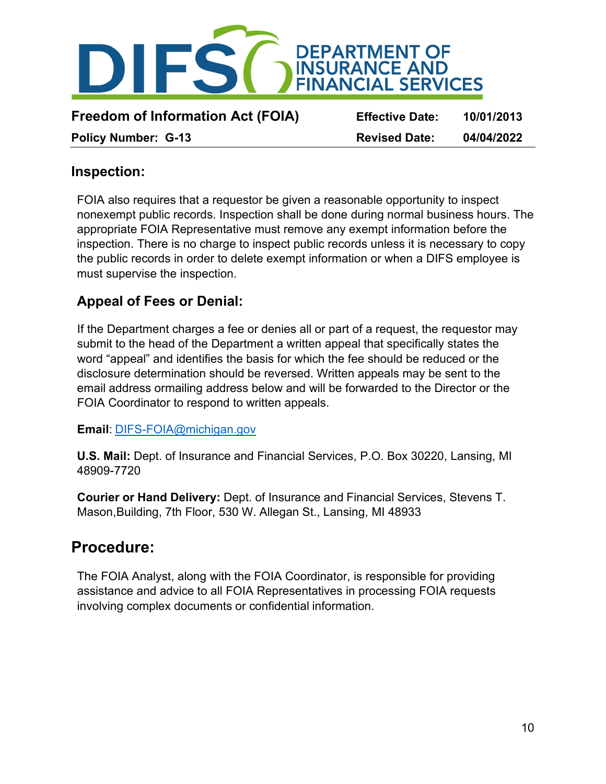

#### **Inspection:**

FOIA also requires that a requestor be given a reasonable opportunity to inspect nonexempt public records. Inspection shall be done during normal business hours. The appropriate FOIA Representative must remove any exempt information before the inspection. There is no charge to inspect public records unless it is necessary to copy the public records in order to delete exempt information or when a DIFS employee is must supervise the inspection.

### **Appeal of Fees or Denial:**

If the Department charges a fee or denies all or part of a request, the requestor may submit to the head of the Department a written appeal that specifically states the word "appeal" and identifies the basis for which the fee should be reduced or the disclosure determination should be reversed. Written appeals may be sent to the email address ormailing address below and will be forwarded to the Director or the FOIA Coordinator to respond to written appeals.

**Email**: [DIFS-FOIA@michigan.gov](mailto:DIFS-FOIA@michigan.gov)

**U.S. Mail:** Dept. of Insurance and Financial Services, P.O. Box 30220, Lansing, MI 48909-7720

**Courier or Hand Delivery:** Dept. of Insurance and Financial Services, Stevens T. Mason,Building, 7th Floor, 530 W. Allegan St., Lansing, MI 48933

### **Procedure:**

The FOIA Analyst, along with the FOIA Coordinator, is responsible for providing assistance and advice to all FOIA Representatives in processing FOIA requests involving complex documents or confidential information.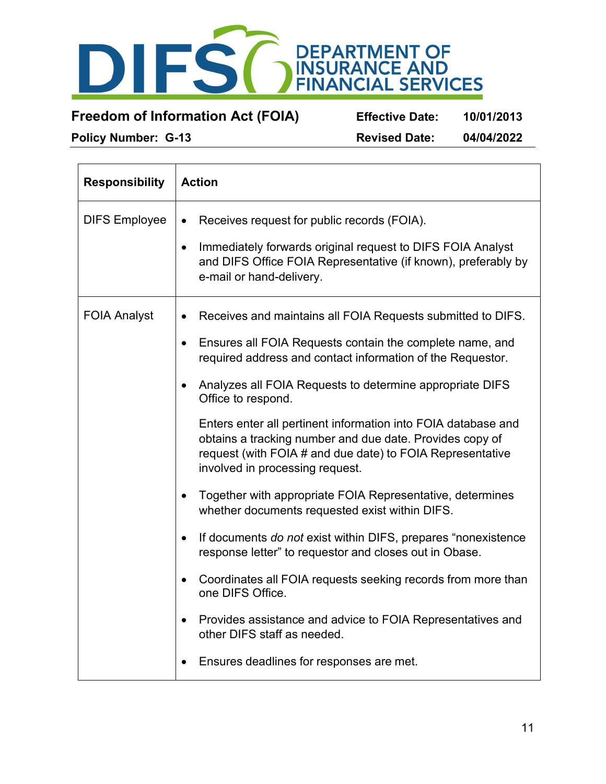

**Freedom of Information Act (FOIA) Effective Date: 10/01/2013**

**Policy Number: G-13 Revised Date: 04/04/2022**

| <b>Responsibility</b> | <b>Action</b>                                                                                                                                                                                                                                                                                                                                                                                                                                                                                                                                                                                                                                                                                                                                                                                                                                                                                                                                                                                                       |
|-----------------------|---------------------------------------------------------------------------------------------------------------------------------------------------------------------------------------------------------------------------------------------------------------------------------------------------------------------------------------------------------------------------------------------------------------------------------------------------------------------------------------------------------------------------------------------------------------------------------------------------------------------------------------------------------------------------------------------------------------------------------------------------------------------------------------------------------------------------------------------------------------------------------------------------------------------------------------------------------------------------------------------------------------------|
| <b>DIFS Employee</b>  | Receives request for public records (FOIA).<br>$\bullet$<br>Immediately forwards original request to DIFS FOIA Analyst<br>$\bullet$<br>and DIFS Office FOIA Representative (if known), preferably by<br>e-mail or hand-delivery.                                                                                                                                                                                                                                                                                                                                                                                                                                                                                                                                                                                                                                                                                                                                                                                    |
| <b>FOIA Analyst</b>   | Receives and maintains all FOIA Requests submitted to DIFS.<br>Ensures all FOIA Requests contain the complete name, and<br>$\bullet$<br>required address and contact information of the Requestor.<br>Analyzes all FOIA Requests to determine appropriate DIFS<br>Office to respond.<br>Enters enter all pertinent information into FOIA database and<br>obtains a tracking number and due date. Provides copy of<br>request (with FOIA # and due date) to FOIA Representative<br>involved in processing request.<br>Together with appropriate FOIA Representative, determines<br>whether documents requested exist within DIFS.<br>If documents do not exist within DIFS, prepares "nonexistence"<br>$\bullet$<br>response letter" to requestor and closes out in Obase.<br>Coordinates all FOIA requests seeking records from more than<br>$\bullet$<br>one DIFS Office.<br>Provides assistance and advice to FOIA Representatives and<br>other DIFS staff as needed.<br>Ensures deadlines for responses are met. |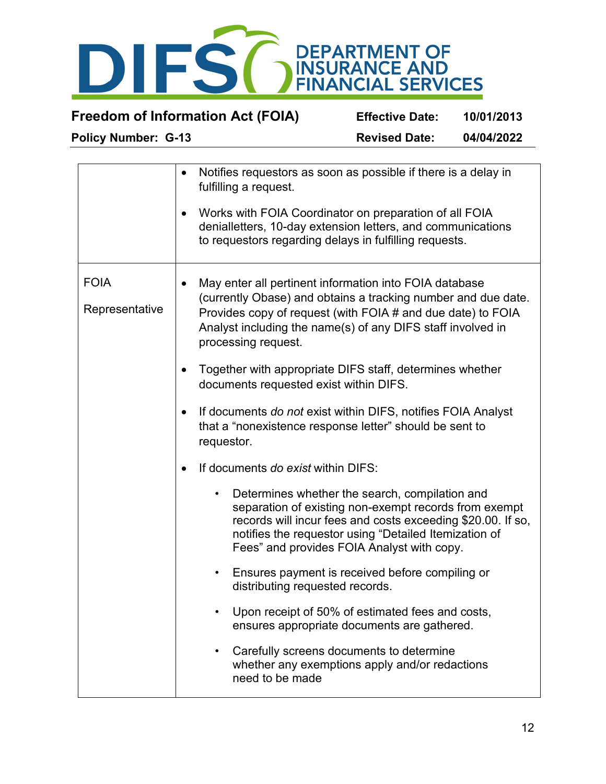

| Notifies requestors as soon as possible if there is a delay in<br>$\bullet$<br>fulfilling a request.                                                                                                                                                                          |
|-------------------------------------------------------------------------------------------------------------------------------------------------------------------------------------------------------------------------------------------------------------------------------|
| Works with FOIA Coordinator on preparation of all FOIA<br>٠<br>denialletters, 10-day extension letters, and communications<br>to requestors regarding delays in fulfilling requests.                                                                                          |
| May enter all pertinent information into FOIA database<br>(currently Obase) and obtains a tracking number and due date.<br>Provides copy of request (with FOIA # and due date) to FOIA<br>Analyst including the name(s) of any DIFS staff involved in                         |
| processing request.                                                                                                                                                                                                                                                           |
| Together with appropriate DIFS staff, determines whether<br>documents requested exist within DIFS.                                                                                                                                                                            |
| If documents do not exist within DIFS, notifies FOIA Analyst<br>$\bullet$<br>that a "nonexistence response letter" should be sent to<br>requestor.                                                                                                                            |
| If documents do exist within DIFS:                                                                                                                                                                                                                                            |
| Determines whether the search, compilation and<br>separation of existing non-exempt records from exempt<br>records will incur fees and costs exceeding \$20.00. If so,<br>notifies the requestor using "Detailed Itemization of<br>Fees" and provides FOIA Analyst with copy. |
| Ensures payment is received before compiling or<br>distributing requested records.                                                                                                                                                                                            |
| Upon receipt of 50% of estimated fees and costs,<br>ensures appropriate documents are gathered.                                                                                                                                                                               |
| Carefully screens documents to determine<br>whether any exemptions apply and/or redactions<br>need to be made                                                                                                                                                                 |
|                                                                                                                                                                                                                                                                               |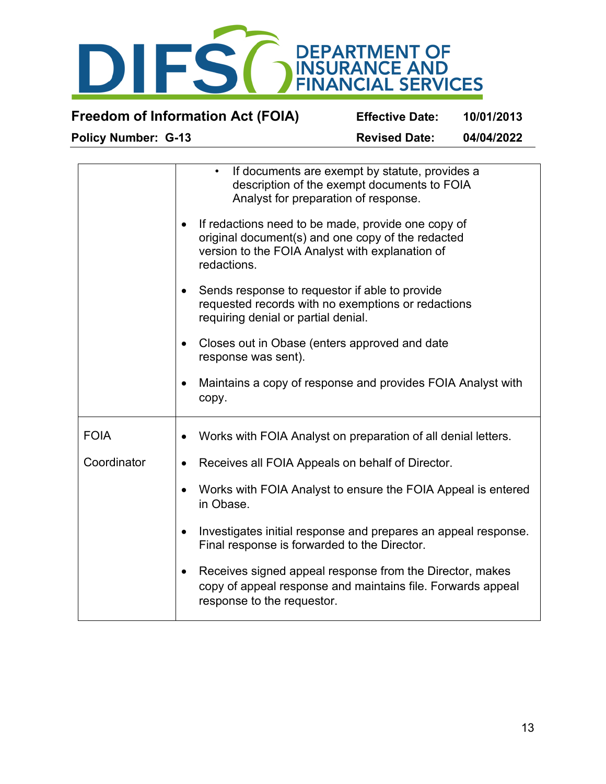

| <b>Policy Number: G-13</b>               | <b>Revised Date:</b>   | 04/04/2022 |
|------------------------------------------|------------------------|------------|
| <b>Freedom of Information Act (FOIA)</b> | <b>Effective Date:</b> | 10/01/2013 |

|             | If documents are exempt by statute, provides a<br>$\bullet$<br>description of the exempt documents to FOIA<br>Analyst for preparation of response.<br>If redactions need to be made, provide one copy of<br>$\bullet$<br>original document(s) and one copy of the redacted<br>version to the FOIA Analyst with explanation of<br>redactions.<br>Sends response to requestor if able to provide<br>$\bullet$<br>requested records with no exemptions or redactions<br>requiring denial or partial denial.<br>Closes out in Obase (enters approved and date |
|-------------|-----------------------------------------------------------------------------------------------------------------------------------------------------------------------------------------------------------------------------------------------------------------------------------------------------------------------------------------------------------------------------------------------------------------------------------------------------------------------------------------------------------------------------------------------------------|
|             | response was sent).                                                                                                                                                                                                                                                                                                                                                                                                                                                                                                                                       |
|             | Maintains a copy of response and provides FOIA Analyst with<br>٠<br>copy.                                                                                                                                                                                                                                                                                                                                                                                                                                                                                 |
| <b>FOIA</b> | Works with FOIA Analyst on preparation of all denial letters.<br>$\bullet$                                                                                                                                                                                                                                                                                                                                                                                                                                                                                |
| Coordinator | Receives all FOIA Appeals on behalf of Director.<br>$\bullet$                                                                                                                                                                                                                                                                                                                                                                                                                                                                                             |
|             | Works with FOIA Analyst to ensure the FOIA Appeal is entered<br>in Obase.                                                                                                                                                                                                                                                                                                                                                                                                                                                                                 |
|             | Investigates initial response and prepares an appeal response.<br>$\bullet$<br>Final response is forwarded to the Director.                                                                                                                                                                                                                                                                                                                                                                                                                               |
|             | Receives signed appeal response from the Director, makes<br>$\bullet$<br>copy of appeal response and maintains file. Forwards appeal<br>response to the requestor.                                                                                                                                                                                                                                                                                                                                                                                        |